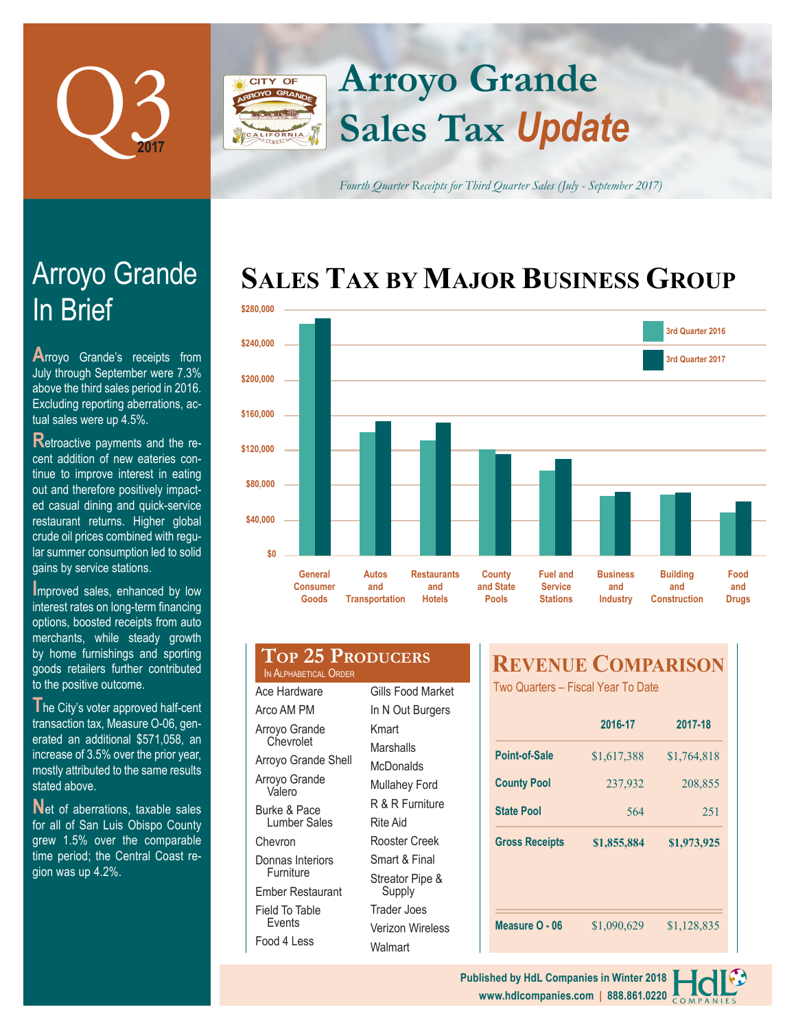

# **Arroyo Grande CITY OF Sales Tax** *Update*

*Fourth Quarter Receipts for Third Quarter Sales (July - September 2017)*

# **SALES TAX BY MAJOR BUSINESS GROUP**



# In Brief Arroyo Grande

**A**rroyo Grande's receipts from July through September were 7.3% above the third sales period in 2016. Excluding reporting aberrations, actual sales were up 4.5%.

**Retroactive payments and the re**cent addition of new eateries continue to improve interest in eating out and therefore positively impacted casual dining and quick-service restaurant returns. Higher global crude oil prices combined with regular summer consumption led to solid gains by service stations.

**I**mproved sales, enhanced by low interest rates on long-term financing options, boosted receipts from auto merchants, while steady growth by home furnishings and sporting goods retailers further contributed to the positive outcome.

**T**he City's voter approved half-cent transaction tax, Measure O-06, generated an additional \$571,058, an increase of 3.5% over the prior year, mostly attributed to the same results stated above.

**N**et of aberrations, taxable sales for all of San Luis Obispo County grew 1.5% over the comparable time period; the Central Coast region was up 4.2%.

|                       | <b>TOP 25 PRODUCERS</b> |
|-----------------------|-------------------------|
| IN ALPHABETICAL ORDER |                         |

| Ace Hardware                  |  |  |  |  |
|-------------------------------|--|--|--|--|
| Arco AM PM                    |  |  |  |  |
| Arroyo Grande<br>Chevrolet    |  |  |  |  |
| Arroyo Grande Shell           |  |  |  |  |
| Arroyo Grande<br>Valero       |  |  |  |  |
| Burke & Pace<br>Lumber Sales  |  |  |  |  |
| Chevron                       |  |  |  |  |
| Donnas Interiors<br>Furniture |  |  |  |  |
| Ember Restaurant              |  |  |  |  |
| Field To Table<br>Fvents      |  |  |  |  |
| Food 4 Less                   |  |  |  |  |

Gills Food Market In N Out Burgers Kmart Marshalls **McDonalds** Mullahey Ford R & R Furniture Rite Aid Rooster Creek Smart & Final Streator Pipe & Supply Trader Joes Verizon Wireless **Walmart** 

# **REVENUE COMPARISON**

Two Quarters – Fiscal Year To Date

|                       | 2016-17     | 2017-18     |  |
|-----------------------|-------------|-------------|--|
| Point-of-Sale         | \$1,617,388 | \$1,764,818 |  |
| <b>County Pool</b>    | 237,932     | 208,855     |  |
| <b>State Pool</b>     | 564         | 251         |  |
|                       |             |             |  |
| <b>Gross Receipts</b> | \$1,855,884 | \$1,973,925 |  |
|                       |             |             |  |
|                       |             |             |  |